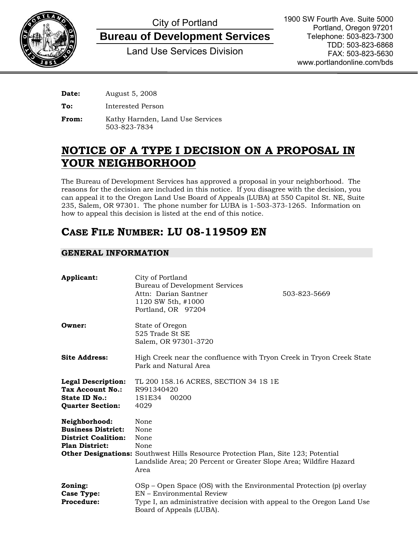

# City of Portland

**Bureau of Development Services**

Land Use Services Division

1900 SW Fourth Ave. Suite 5000 Portland, Oregon 97201 Telephone: 503-823-7300 TDD: 503-823-6868 FAX: 503-823-5630 www.portlandonline.com/bds

**Date:** August 5, 2008

**To:** Interested Person

**From:** Kathy Harnden, Land Use Services 503-823-7834

## **NOTICE OF A TYPE I DECISION ON A PROPOSAL IN YOUR NEIGHBORHOOD**

The Bureau of Development Services has approved a proposal in your neighborhood. The reasons for the decision are included in this notice. If you disagree with the decision, you can appeal it to the Oregon Land Use Board of Appeals (LUBA) at 550 Capitol St. NE, Suite 235, Salem, OR 97301. The phone number for LUBA is 1-503-373-1265. Information on how to appeal this decision is listed at the end of this notice.

## **CASE FILE NUMBER: LU 08-119509 EN**

### **GENERAL INFORMATION**

| Applicant:                                                                                        | City of Portland<br>Bureau of Development Services<br>Attn: Darian Santner<br>1120 SW 5th, #1000<br>Portland, OR 97204                                                                                | 503-823-5669 |
|---------------------------------------------------------------------------------------------------|-------------------------------------------------------------------------------------------------------------------------------------------------------------------------------------------------------|--------------|
| Owner:                                                                                            | State of Oregon<br>525 Trade St SE<br>Salem, OR 97301-3720                                                                                                                                            |              |
| <b>Site Address:</b>                                                                              | High Creek near the confluence with Tryon Creek in Tryon Creek State<br>Park and Natural Area                                                                                                         |              |
| <b>Legal Description:</b><br>Tax Account No.:<br><b>State ID No.:</b><br><b>Quarter Section:</b>  | TL 200 158.16 ACRES, SECTION 34 1S 1E<br>R991340420<br>1S1E34<br>00200<br>4029                                                                                                                        |              |
| Neighborhood:<br><b>Business District:</b><br><b>District Coalition:</b><br><b>Plan District:</b> | None<br>None<br>None<br>None<br><b>Other Designations:</b> Southwest Hills Resource Protection Plan, Site 123; Potential<br>Landslide Area; 20 Percent or Greater Slope Area; Wildfire Hazard<br>Area |              |
| Zoning:<br>Case Type:<br><b>Procedure:</b>                                                        | OSp – Open Space (OS) with the Environmental Protection (p) overlay<br>EN – Environmental Review<br>Type I, an administrative decision with appeal to the Oregon Land Use<br>Board of Appeals (LUBA). |              |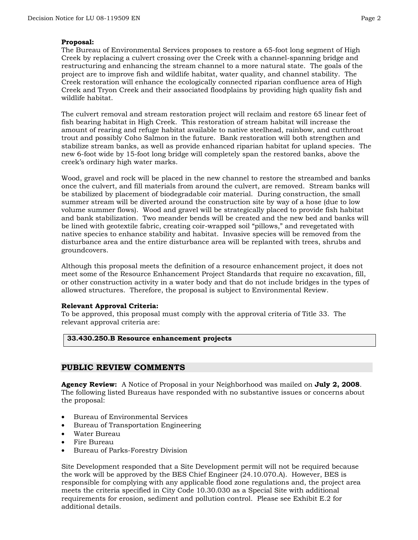#### **Proposal:**

The Bureau of Environmental Services proposes to restore a 65-foot long segment of High Creek by replacing a culvert crossing over the Creek with a channel-spanning bridge and restructuring and enhancing the stream channel to a more natural state. The goals of the project are to improve fish and wildlife habitat, water quality, and channel stability. The Creek restoration will enhance the ecologically connected riparian confluence area of High Creek and Tryon Creek and their associated floodplains by providing high quality fish and wildlife habitat.

The culvert removal and stream restoration project will reclaim and restore 65 linear feet of fish bearing habitat in High Creek. This restoration of stream habitat will increase the amount of rearing and refuge habitat available to native steelhead, rainbow, and cutthroat trout and possibly Coho Salmon in the future. Bank restoration will both strengthen and stabilize stream banks, as well as provide enhanced riparian habitat for upland species. The new 6-foot wide by 15-foot long bridge will completely span the restored banks, above the creek's ordinary high water marks.

Wood, gravel and rock will be placed in the new channel to restore the streambed and banks once the culvert, and fill materials from around the culvert, are removed. Stream banks will be stabilized by placement of biodegradable coir material. During construction, the small summer stream will be diverted around the construction site by way of a hose (due to low volume summer flows). Wood and gravel will be strategically placed to provide fish habitat and bank stabilization. Two meander bends will be created and the new bed and banks will be lined with geotextile fabric, creating coir-wrapped soil "pillows," and revegetated with native species to enhance stability and habitat. Invasive species will be removed from the disturbance area and the entire disturbance area will be replanted with trees, shrubs and groundcovers.

Although this proposal meets the definition of a resource enhancement project, it does not meet some of the Resource Enhancement Project Standards that require no excavation, fill, or other construction activity in a water body and that do not include bridges in the types of allowed structures. Therefore, the proposal is subject to Environmental Review.

#### **Relevant Approval Criteria:**

To be approved, this proposal must comply with the approval criteria of Title 33. The relevant approval criteria are:

#### **33.430.250.B Resource enhancement projects**

#### **PUBLIC REVIEW COMMENTS**

**Agency Review:** A Notice of Proposal in your Neighborhood was mailed on **July 2, 2008**. The following listed Bureaus have responded with no substantive issues or concerns about the proposal:

- Bureau of Environmental Services
- Bureau of Transportation Engineering
- Water Bureau
- Fire Bureau
- Bureau of Parks-Forestry Division

Site Development responded that a Site Development permit will not be required because the work will be approved by the BES Chief Engineer (24.10.070.A). However, BES is responsible for complying with any applicable flood zone regulations and, the project area meets the criteria specified in City Code 10.30.030 as a Special Site with additional requirements for erosion, sediment and pollution control. Please see Exhibit E.2 for additional details.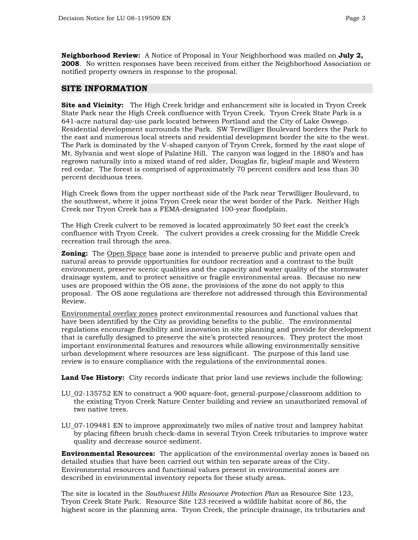**Neighborhood Review:** A Notice of Proposal in Your Neighborhood was mailed on **July 2, 2008**. No written responses have been received from either the Neighborhood Association or notified property owners in response to the proposal.

#### **SITE INFORMATION**

**Site and Vicinity:** The High Creek bridge and enhancement site is located in Tryon Creek State Park near the High Creek confluence with Tryon Creek. Tryon Creek State Park is a 641-acre natural day-use park located between Portland and the City of Lake Oswego. Residential development surrounds the Park. SW Terwilliger Boulevard borders the Park to the east and numerous local streets and residential development border the site to the west. The Park is dominated by the V-shaped canyon of Tryon Creek, formed by the east slope of Mt. Sylvania and west slope of Palatine Hill. The canyon was logged in the 1880's and has regrown naturally into a mixed stand of red alder, Douglas fir, bigleaf maple and Western red cedar. The forest is comprised of approximately 70 percent conifers and less than 30 percent deciduous trees.

High Creek flows from the upper northeast side of the Park near Terwilliger Boulevard, to the southwest, where it joins Tryon Creek near the west border of the Park. Neither High Creek nor Tryon Creek has a FEMA-designated 100-year floodplain.

The High Creek culvert to be removed is located approximately 50 feet east the creek's confluence with Tryon Creek. The culvert provides a creek crossing for the Middle Creek recreation trail through the area.

**Zoning:** The Open Space base zone is intended to preserve public and private open and natural areas to provide opportunities for outdoor recreation and a contrast to the built environment, preserve scenic qualities and the capacity and water quality of the stormwater drainage system, and to protect sensitive or fragile environmental areas. Because no new uses are proposed within the OS zone, the provisions of the zone do not apply to this proposal. The OS zone regulations are therefore not addressed through this Environmental Review.

Environmental overlay zones protect environmental resources and functional values that have been identified by the City as providing benefits to the public. The environmental regulations encourage flexibility and innovation in site planning and provide for development that is carefully designed to preserve the site's protected resources. They protect the most important environmental features and resources while allowing environmentally sensitive urban development where resources are less significant. The purpose of this land use review is to ensure compliance with the regulations of the environmental zones.

**Land Use History:** City records indicate that prior land use reviews include the following:

- LU\_02-135752 EN to construct a 900 square-foot, general-purpose/classroom addition to the existing Tryon Creek Nature Center building and review an unauthorized removal of two native trees.
- LU\_07-109481 EN to improve approximately two miles of native trout and lamprey habitat by placing fifteen brush check-dams in several Tryon Creek tributaries to improve water quality and decrease source sediment.

**Environmental Resources:** The application of the environmental overlay zones is based on detailed studies that have been carried out within ten separate areas of the City. Environmental resources and functional values present in environmental zones are described in environmental inventory reports for these study areas.

The site is located in the *Southwest Hills Resource Protection Plan* as Resource Site 123, Tryon Creek State Park. Resource Site 123 received a wildlife habitat score of 86, the highest score in the planning area. Tryon Creek, the principle drainage, its tributaries and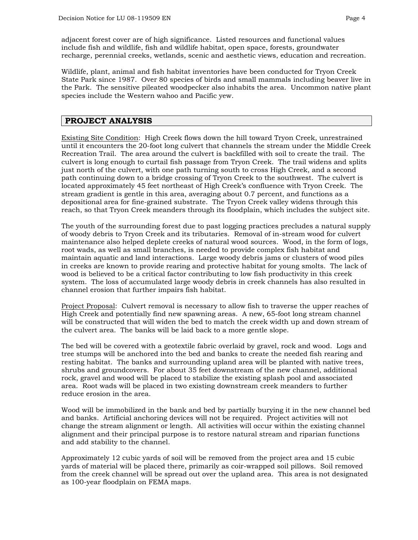adjacent forest cover are of high significance. Listed resources and functional values include fish and wildlife, fish and wildlife habitat, open space, forests, groundwater recharge, perennial creeks, wetlands, scenic and aesthetic views, education and recreation.

Wildlife, plant, animal and fish habitat inventories have been conducted for Tryon Creek State Park since 1987. Over 80 species of birds and small mammals including beaver live in the Park. The sensitive pileated woodpecker also inhabits the area. Uncommon native plant species include the Western wahoo and Pacific yew.

#### **PROJECT ANALYSIS**

Existing Site Condition: High Creek flows down the hill toward Tryon Creek, unrestrained until it encounters the 20-foot long culvert that channels the stream under the Middle Creek Recreation Trail. The area around the culvert is backfilled with soil to create the trail. The culvert is long enough to curtail fish passage from Tryon Creek. The trail widens and splits just north of the culvert, with one path turning south to cross High Creek, and a second path continuing down to a bridge crossing of Tryon Creek to the southwest. The culvert is located approximately 45 feet northeast of High Creek's confluence with Tryon Creek. The stream gradient is gentle in this area, averaging about 0.7 percent, and functions as a depositional area for fine-grained substrate. The Tryon Creek valley widens through this reach, so that Tryon Creek meanders through its floodplain, which includes the subject site.

The youth of the surrounding forest due to past logging practices precludes a natural supply of woody debris to Tryon Creek and its tributaries. Removal of in-stream wood for culvert maintenance also helped deplete creeks of natural wood sources. Wood, in the form of logs, root wads, as well as small branches, is needed to provide complex fish habitat and maintain aquatic and land interactions. Large woody debris jams or clusters of wood piles in creeks are known to provide rearing and protective habitat for young smolts. The lack of wood is believed to be a critical factor contributing to low fish productivity in this creek system. The loss of accumulated large woody debris in creek channels has also resulted in channel erosion that further impairs fish habitat.

Project Proposal: Culvert removal is necessary to allow fish to traverse the upper reaches of High Creek and potentially find new spawning areas. A new, 65-foot long stream channel will be constructed that will widen the bed to match the creek width up and down stream of the culvert area. The banks will be laid back to a more gentle slope.

The bed will be covered with a geotextile fabric overlaid by gravel, rock and wood. Logs and tree stumps will be anchored into the bed and banks to create the needed fish rearing and resting habitat. The banks and surrounding upland area will be planted with native trees, shrubs and groundcovers. For about 35 feet downstream of the new channel, additional rock, gravel and wood will be placed to stabilize the existing splash pool and associated area. Root wads will be placed in two existing downstream creek meanders to further reduce erosion in the area.

Wood will be immobilized in the bank and bed by partially burying it in the new channel bed and banks. Artificial anchoring devices will not be required. Project activities will not change the stream alignment or length. All activities will occur within the existing channel alignment and their principal purpose is to restore natural stream and riparian functions and add stability to the channel.

Approximately 12 cubic yards of soil will be removed from the project area and 15 cubic yards of material will be placed there, primarily as coir-wrapped soil pillows. Soil removed from the creek channel will be spread out over the upland area. This area is not designated as 100-year floodplain on FEMA maps.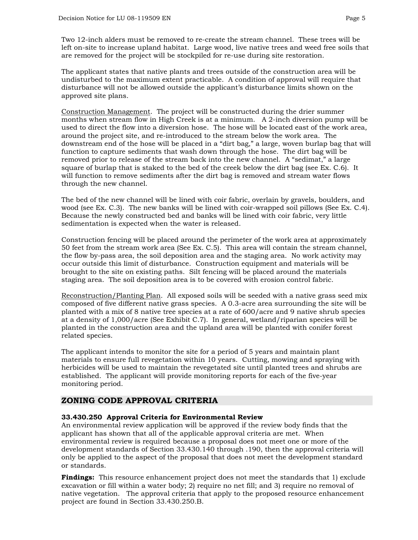Two 12-inch alders must be removed to re-create the stream channel. These trees will be left on-site to increase upland habitat. Large wood, live native trees and weed free soils that are removed for the project will be stockpiled for re-use during site restoration.

The applicant states that native plants and trees outside of the construction area will be undisturbed to the maximum extent practicable. A condition of approval will require that disturbance will not be allowed outside the applicant's disturbance limits shown on the approved site plans.

Construction Management. The project will be constructed during the drier summer months when stream flow in High Creek is at a minimum. A 2-inch diversion pump will be used to direct the flow into a diversion hose. The hose will be located east of the work area, around the project site, and re-introduced to the stream below the work area. The downstream end of the hose will be placed in a "dirt bag," a large, woven burlap bag that will function to capture sediments that wash down through the hose. The dirt bag will be removed prior to release of the stream back into the new channel. A "sedimat," a large square of burlap that is staked to the bed of the creek below the dirt bag (see Ex. C.6). It will function to remove sediments after the dirt bag is removed and stream water flows through the new channel.

The bed of the new channel will be lined with coir fabric, overlain by gravels, boulders, and wood (see Ex. C.3). The new banks will be lined with coir-wrapped soil pillows (See Ex. C.4). Because the newly constructed bed and banks will be lined with coir fabric, very little sedimentation is expected when the water is released.

Construction fencing will be placed around the perimeter of the work area at approximately 50 feet from the stream work area (See Ex. C.5). This area will contain the stream channel, the flow by-pass area, the soil deposition area and the staging area. No work activity may occur outside this limit of disturbance. Construction equipment and materials will be brought to the site on existing paths. Silt fencing will be placed around the materials staging area. The soil deposition area is to be covered with erosion control fabric.

Reconstruction/Planting Plan. All exposed soils will be seeded with a native grass seed mix composed of five different native grass species. A 0.3-acre area surrounding the site will be planted with a mix of 8 native tree species at a rate of 600/acre and 9 native shrub species at a density of 1,000/acre (See Exhibit C.7). In general, wetland/riparian species will be planted in the construction area and the upland area will be planted with conifer forest related species.

The applicant intends to monitor the site for a period of 5 years and maintain plant materials to ensure full revegetation within 10 years. Cutting, mowing and spraying with herbicides will be used to maintain the revegetated site until planted trees and shrubs are established. The applicant will provide monitoring reports for each of the five-year monitoring period.

#### **ZONING CODE APPROVAL CRITERIA**

#### **33.430.250 Approval Criteria for Environmental Review**

An environmental review application will be approved if the review body finds that the applicant has shown that all of the applicable approval criteria are met. When environmental review is required because a proposal does not meet one or more of the development standards of Section 33.430.140 through .190, then the approval criteria will only be applied to the aspect of the proposal that does not meet the development standard or standards.

**Findings:** This resource enhancement project does not meet the standards that 1) exclude excavation or fill within a water body; 2) require no net fill; and 3) require no removal of native vegetation. The approval criteria that apply to the proposed resource enhancement project are found in Section 33.430.250.B.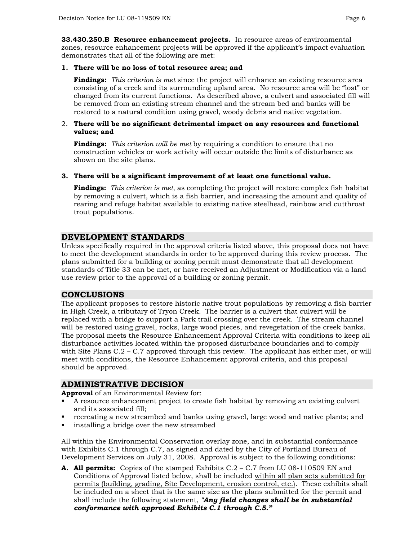**33.430.250.B Resource enhancement projects.** In resource areas of environmental zones, resource enhancement projects will be approved if the applicant's impact evaluation demonstrates that all of the following are met:

#### **1. There will be no loss of total resource area; and**

**Findings:** *This criterion is met* since the project will enhance an existing resource area consisting of a creek and its surrounding upland area. No resource area will be "lost" or changed from its current functions. As described above, a culvert and associated fill will be removed from an existing stream channel and the stream bed and banks will be restored to a natural condition using gravel, woody debris and native vegetation.

#### 2. **There will be no significant detrimental impact on any resources and functional values; and**

**Findings:** *This criterion will be met* by requiring a condition to ensure that no construction vehicles or work activity will occur outside the limits of disturbance as shown on the site plans.

#### **3. There will be a significant improvement of at least one functional value.**

**Findings:** *This criterion is met*, as completing the project will restore complex fish habitat by removing a culvert, which is a fish barrier, and increasing the amount and quality of rearing and refuge habitat available to existing native steelhead, rainbow and cutthroat trout populations.

#### **DEVELOPMENT STANDARDS**

Unless specifically required in the approval criteria listed above, this proposal does not have to meet the development standards in order to be approved during this review process. The plans submitted for a building or zoning permit must demonstrate that all development standards of Title 33 can be met, or have received an Adjustment or Modification via a land use review prior to the approval of a building or zoning permit.

#### **CONCLUSIONS**

The applicant proposes to restore historic native trout populations by removing a fish barrier in High Creek, a tributary of Tryon Creek. The barrier is a culvert that culvert will be replaced with a bridge to support a Park trail crossing over the creek. The stream channel will be restored using gravel, rocks, large wood pieces, and revegetation of the creek banks. The proposal meets the Resource Enhancement Approval Criteria with conditions to keep all disturbance activities located within the proposed disturbance boundaries and to comply with Site Plans  $C.2 - C.7$  approved through this review. The applicant has either met, or will meet with conditions, the Resource Enhancement approval criteria, and this proposal should be approved.

#### **ADMINISTRATIVE DECISION**

**Approval** of an Environmental Review for:

- A resource enhancement project to create fish habitat by removing an existing culvert and its associated fill;
- recreating a new streambed and banks using gravel, large wood and native plants; and
- installing a bridge over the new streambed

All within the Environmental Conservation overlay zone, and in substantial conformance with Exhibits C.1 through C.7, as signed and dated by the City of Portland Bureau of Development Services on July 31, 2008. Approval is subject to the following conditions:

**A. All permits:** Copies of the stamped Exhibits C.2 – C.7 from LU 08-110509 EN and Conditions of Approval listed below, shall be included within all plan sets submitted for permits (building, grading, Site Development, erosion control, etc.). These exhibits shall be included on a sheet that is the same size as the plans submitted for the permit and shall include the following statement, *"Any field changes shall be in substantial conformance with approved Exhibits C.1 through C.5."*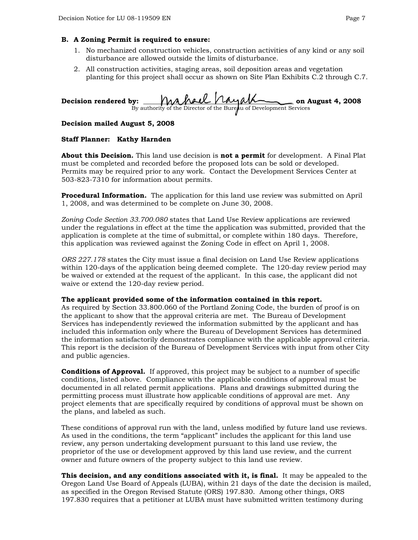#### **B. A Zoning Permit is required to ensure:**

- 1. No mechanized construction vehicles, construction activities of any kind or any soil disturbance are allowed outside the limits of disturbance.
- 2. All construction activities, staging areas, soil deposition areas and vegetation planting for this project shall occur as shown on Site Plan Exhibits C.2 through C.7.

Decision rendered by: <u>With Mark Vlayandell</u> on August 4, 2008 By authority of the Director of the Bureau of Development Services

#### **Decision mailed August 5, 2008**

#### **Staff Planner: Kathy Harnden**

**About this Decision.** This land use decision is **not a permit** for development. A Final Plat must be completed and recorded before the proposed lots can be sold or developed. Permits may be required prior to any work. Contact the Development Services Center at 503-823-7310 for information about permits.

**Procedural Information.** The application for this land use review was submitted on April 1, 2008, and was determined to be complete on June 30, 2008.

*Zoning Code Section 33.700.080* states that Land Use Review applications are reviewed under the regulations in effect at the time the application was submitted, provided that the application is complete at the time of submittal, or complete within 180 days. Therefore, this application was reviewed against the Zoning Code in effect on April 1, 2008.

*ORS 227.178* states the City must issue a final decision on Land Use Review applications within 120-days of the application being deemed complete. The 120-day review period may be waived or extended at the request of the applicant. In this case, the applicant did not waive or extend the 120-day review period.

#### **The applicant provided some of the information contained in this report.**

As required by Section 33.800.060 of the Portland Zoning Code, the burden of proof is on the applicant to show that the approval criteria are met. The Bureau of Development Services has independently reviewed the information submitted by the applicant and has included this information only where the Bureau of Development Services has determined the information satisfactorily demonstrates compliance with the applicable approval criteria. This report is the decision of the Bureau of Development Services with input from other City and public agencies.

**Conditions of Approval.** If approved, this project may be subject to a number of specific conditions, listed above. Compliance with the applicable conditions of approval must be documented in all related permit applications. Plans and drawings submitted during the permitting process must illustrate how applicable conditions of approval are met. Any project elements that are specifically required by conditions of approval must be shown on the plans, and labeled as such.

These conditions of approval run with the land, unless modified by future land use reviews. As used in the conditions, the term "applicant" includes the applicant for this land use review, any person undertaking development pursuant to this land use review, the proprietor of the use or development approved by this land use review, and the current owner and future owners of the property subject to this land use review.

**This decision, and any conditions associated with it, is final.** It may be appealed to the Oregon Land Use Board of Appeals (LUBA), within 21 days of the date the decision is mailed, as specified in the Oregon Revised Statute (ORS) 197.830. Among other things, ORS 197.830 requires that a petitioner at LUBA must have submitted written testimony during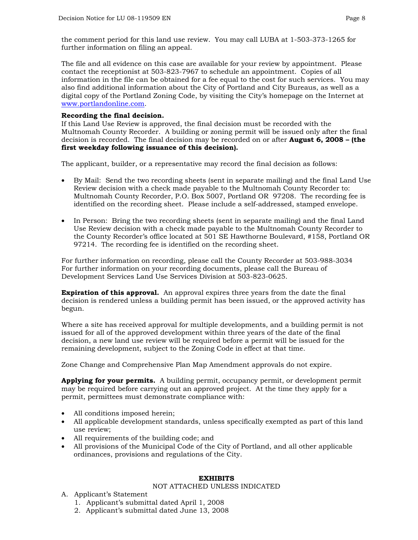the comment period for this land use review. You may call LUBA at 1-503-373-1265 for further information on filing an appeal.

[The file and all evidence o](http://www.portlandonline.com/)n this case are available for your review by appointment. Please contact the receptionist at 503-823-7967 to schedule an appointment. Copies of all information in the file can be obtained for a fee equal to the cost for such services. You may also find additional information about the City of Portland and City Bureaus, as well as a digital copy of the Portland Zoning Code, by visiting the City's homepage on the Internet at www.portlandonline.com.

#### **Recording the final decision.**

If this Land Use Review is approved, the final decision must be recorded with the Multnomah County Recorder. A building or zoning permit will be issued only after the final decision is recorded. The final decision may be recorded on or after **August 6, 2008 – (the first weekday following issuance of this decision).**

The applicant, builder, or a representative may record the final decision as follows:

- By Mail: Send the two recording sheets (sent in separate mailing) and the final Land Use Review decision with a check made payable to the Multnomah County Recorder to: Multnomah County Recorder, P.O. Box 5007, Portland OR 97208. The recording fee is identified on the recording sheet. Please include a self-addressed, stamped envelope.
- In Person: Bring the two recording sheets (sent in separate mailing) and the final Land Use Review decision with a check made payable to the Multnomah County Recorder to the County Recorder's office located at 501 SE Hawthorne Boulevard, #158, Portland OR 97214. The recording fee is identified on the recording sheet.

For further information on recording, please call the County Recorder at 503-988-3034 For further information on your recording documents, please call the Bureau of Development Services Land Use Services Division at 503-823-0625.

**Expiration of this approval.** An approval expires three years from the date the final decision is rendered unless a building permit has been issued, or the approved activity has begun.

Where a site has received approval for multiple developments, and a building permit is not issued for all of the approved development within three years of the date of the final decision, a new land use review will be required before a permit will be issued for the remaining development, subject to the Zoning Code in effect at that time.

Zone Change and Comprehensive Plan Map Amendment approvals do not expire.

**Applying for your permits.** A building permit, occupancy permit, or development permit may be required before carrying out an approved project. At the time they apply for a permit, permittees must demonstrate compliance with:

- All conditions imposed herein;
- All applicable development standards, unless specifically exempted as part of this land use review;
- All requirements of the building code; and
- All provisions of the Municipal Code of the City of Portland, and all other applicable ordinances, provisions and regulations of the City.

#### **EXHIBITS**

#### NOT ATTACHED UNLESS INDICATED

- A. Applicant's Statement
	- 1. Applicant's submittal dated April 1, 2008
	- 2. Applicant's submittal dated June 13, 2008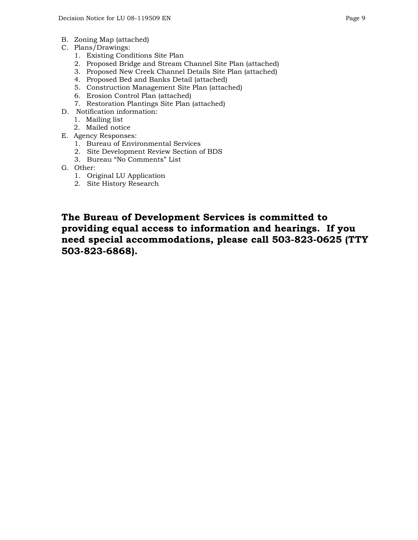- B. Zoning Map (attached)
- C. Plans/Drawings:
	- 1. Existing Conditions Site Plan
	- 2. Proposed Bridge and Stream Channel Site Plan (attached)
	- 3. Proposed New Creek Channel Details Site Plan (attached)
	- 4. Proposed Bed and Banks Detail (attached)
	- 5. Construction Management Site Plan (attached)
	- 6. Erosion Control Plan (attached)
	- 7. Restoration Plantings Site Plan (attached)
- D. Notification information:
	- 1. Mailing list
	- 2. Mailed notice
- E. Agency Responses:
	- 1. Bureau of Environmental Services
	- 2. Site Development Review Section of BDS
	- 3. Bureau "No Comments" List
- G. Other:
	- 1. Original LU Application
	- 2. Site History Research

**The Bureau of Development Services is committed to providing equal access to information and hearings. If you need special accommodations, please call 503-823-0625 (TTY 503-823-6868).**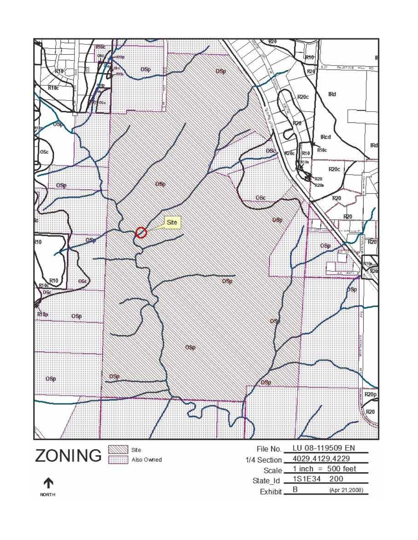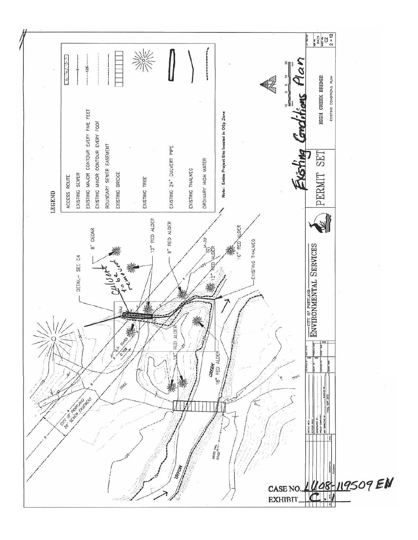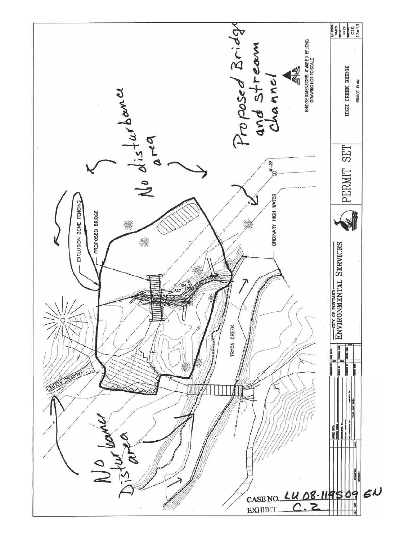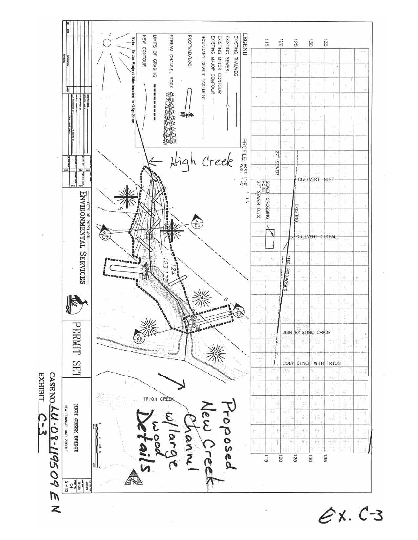

 $ex. C-3$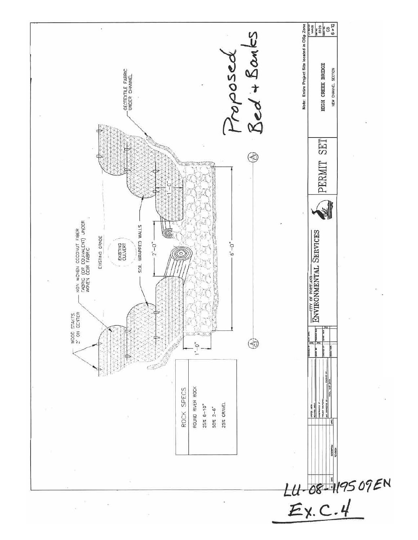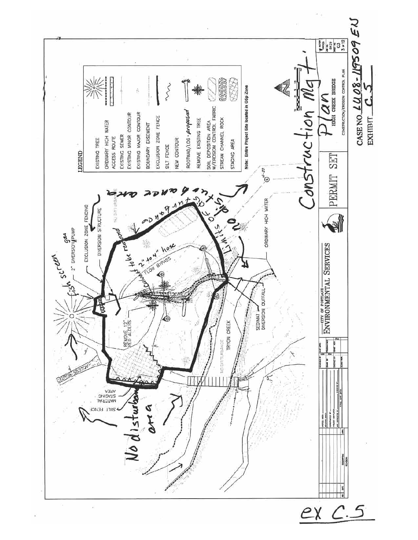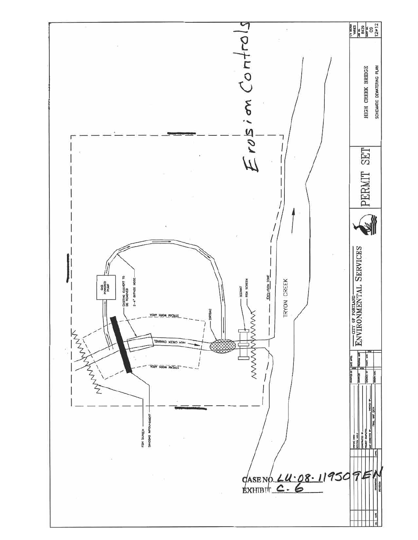